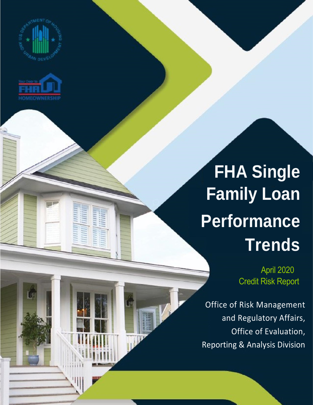



## **FHA Single Family Loan Performance Trends**

April 2020 Credit Risk Report

Office of Risk Management and Regulatory Affairs, Office of Evaluation, Reporting & Analysis Division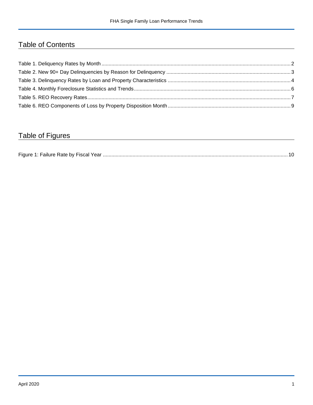## Table of Contents

## Table of Figures

| Figure 1<br>Failure Rate by Fiscal Year. |  |
|------------------------------------------|--|
|------------------------------------------|--|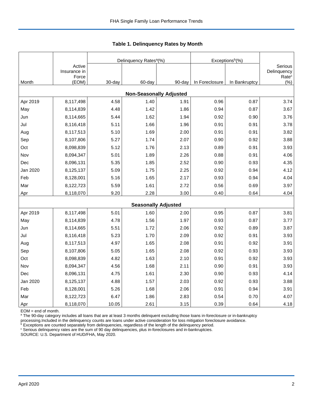|          |                                 |        | Delinquency Rates <sup>a</sup> (%) |        | Exceptions <sup>b</sup> (%) |               |                                             |
|----------|---------------------------------|--------|------------------------------------|--------|-----------------------------|---------------|---------------------------------------------|
|          | Active<br>Insurance in<br>Force |        |                                    |        |                             |               | Serious<br>Delinquency<br>Rate <sup>c</sup> |
| Month    | (EOM)                           | 30-day | 60-day                             | 90-day | In Foreclosure              | In Bankruptcy | $(\% )$                                     |
|          |                                 |        | <b>Non-Seasonally Adjusted</b>     |        |                             |               |                                             |
| Apr 2019 | 8,117,498                       | 4.58   | 1.40                               | 1.91   | 0.96                        | 0.87          | 3.74                                        |
| May      | 8,114,839                       | 4.48   | 1.42                               | 1.86   | 0.94                        | 0.87          | 3.67                                        |
| Jun      | 8,114,665                       | 5.44   | 1.62                               | 1.94   | 0.92                        | 0.90          | 3.76                                        |
| Jul      | 8,116,418                       | 5.11   | 1.66                               | 1.96   | 0.91                        | 0.91          | 3.78                                        |
| Aug      | 8,117,513                       | 5.10   | 1.69                               | 2.00   | 0.91                        | 0.91          | 3.82                                        |
| Sep      | 8,107,806                       | 5.27   | 1.74                               | 2.07   | 0.90                        | 0.92          | 3.88                                        |
| Oct      | 8,098,839                       | 5.12   | 1.76                               | 2.13   | 0.89                        | 0.91          | 3.93                                        |
| Nov      | 8,094,347                       | 5.01   | 1.89                               | 2.26   | 0.88                        | 0.91          | 4.06                                        |
| Dec      | 8,096,131                       | 5.35   | 1.85                               | 2.52   | 0.90                        | 0.93          | 4.35                                        |
| Jan 2020 | 8,125,137                       | 5.09   | 1.75                               | 2.25   | 0.92                        | 0.94          | 4.12                                        |
| Feb      | 8,128,001                       | 5.16   | 1.65                               | 2.17   | 0.93                        | 0.94          | 4.04                                        |
| Mar      | 8,122,723                       | 5.59   | 1.61                               | 2.72   | 0.56                        | 0.69          | 3.97                                        |
| Apr      | 8,118,070                       | 9.20   | 2.28                               | 3.00   | 0.40                        | 0.64          | 4.04                                        |
|          |                                 |        | <b>Seasonally Adjusted</b>         |        |                             |               |                                             |
| Apr 2019 | 8,117,498                       | 5.01   | 1.60                               | 2.00   | 0.95                        | 0.87          | 3.81                                        |
| May      | 8,114,839                       | 4.78   | 1.56                               | 1.97   | 0.93                        | 0.87          | 3.77                                        |
| Jun      | 8,114,665                       | 5.51   | 1.72                               | 2.06   | 0.92                        | 0.89          | 3.87                                        |
| Jul      | 8,116,418                       | 5.23   | 1.70                               | 2.09   | 0.92                        | 0.91          | 3.93                                        |
| Aug      | 8,117,513                       | 4.97   | 1.65                               | 2.08   | 0.91                        | 0.92          | 3.91                                        |
| Sep      | 8,107,806                       | 5.05   | 1.65                               | 2.08   | 0.92                        | 0.93          | 3.93                                        |
| Oct      | 8,098,839                       | 4.82   | 1.63                               | 2.10   | 0.91                        | 0.92          | 3.93                                        |
| Nov      | 8,094,347                       | 4.56   | 1.68                               | 2.11   | 0.90                        | 0.91          | 3.93                                        |
| Dec      | 8,096,131                       | 4.75   | 1.61                               | 2.30   | 0.90                        | 0.93          | 4.14                                        |
| Jan 2020 | 8,125,137                       | 4.88   | 1.57                               | 2.03   | 0.92                        | 0.93          | 3.88                                        |
| Feb      | 8,128,001                       | 5.26   | 1.68                               | 2.06   | 0.91                        | 0.94          | 3.91                                        |
| Mar      | 8,122,723                       | 6.47   | 1.86                               | 2.83   | 0.54                        | 0.70          | 4.07                                        |
| Apr      | 8,118,070                       | 10.05  | 2.61                               | 3.15   | 0.39                        | 0.64          | 4.18                                        |

<span id="page-2-0"></span>**Table 1. Delinquency Rates by Month**

EOM = end of month.

<sup>a</sup> The 90-day category includes all loans that are at least 3 months delinquent excluding those loans in-foreclosure or in-bankruptcy

processing.Included in the delinquency counts are loans under active consideration for loss mitigation foreclosure avoidance.

 $b$  Exceptions are counted separately from delinquencies, regardless of the length of the delinquency period. <sup>c</sup> Serious delinquency rates are the sum of 90 day delinquencies, plus in-foreclosures and in-bankruptcies.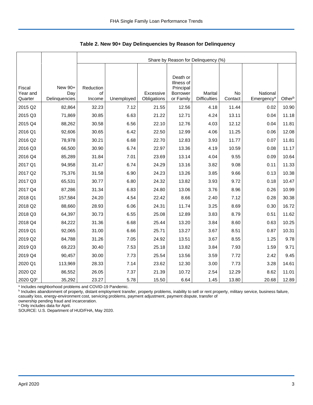|                     |                      |              |            |                          |                                     | Share by Reason for Delinquency (%) |               |                                    |        |
|---------------------|----------------------|--------------|------------|--------------------------|-------------------------------------|-------------------------------------|---------------|------------------------------------|--------|
|                     |                      |              |            |                          |                                     |                                     |               |                                    |        |
| Fiscal              | New 90+              | Reduction    |            |                          | Death or<br>Illness of<br>Principal |                                     |               |                                    |        |
| Year and<br>Quarter | Day<br>Delinquencies | of<br>Income | Unemployed | Excessive<br>Obligations | <b>Borrower</b><br>or Family        | Marital<br><b>Difficulties</b>      | No<br>Contact | National<br>Emergency <sup>a</sup> | Otherb |
| 2015 Q2             | 82,864               | 32.23        | 7.12       | 21.55                    | 12.56                               | 4.18                                | 11.44         | 0.02                               | 10.90  |
| 2015 Q3             | 71,869               | 30.85        | 6.63       | 21.22                    | 12.71                               | 4.24                                | 13.11         | 0.04                               | 11.18  |
| 2015 Q4             | 88,262               | 30.58        | 6.56       | 22.10                    | 12.76                               | 4.03                                | 12.12         | 0.04                               | 11.81  |
| 2016 Q1             | 92,606               | 30.65        | 6.42       | 22.50                    | 12.99                               | 4.06                                | 11.25         | 0.06                               | 12.08  |
| 2016 Q2             | 78,978               | 30.21        | 6.68       | 22.70                    | 12.83                               | 3.93                                | 11.77         | 0.07                               | 11.81  |
| 2016 Q3             | 66,500               | 30.90        | 6.74       | 22.97                    | 13.36                               | 4.19                                | 10.59         | 0.08                               | 11.17  |
| 2016 Q4             | 85,289               | 31.84        | 7.01       | 23.69                    | 13.14                               | 4.04                                | 9.55          | 0.09                               | 10.64  |
| 2017 Q1             | 94,958               | 31.47        | 6.74       | 24.29                    | 13.16                               | 3.82                                | 9.08          | 0.11                               | 11.33  |
| 2017 Q2             | 75,376               | 31.58        | 6.90       | 24.23                    | 13.26                               | 3.85                                | 9.66          | 0.13                               | 10.38  |
| 2017 Q3             | 65,531               | 30.77        | 6.80       | 24.32                    | 13.82                               | 3.93                                | 9.72          | 0.18                               | 10.47  |
| 2017 Q4             | 87,286               | 31.34        | 6.83       | 24.80                    | 13.06                               | 3.76                                | 8.96          | 0.26                               | 10.99  |
| 2018 Q1             | 157,584              | 24.20        | 4.54       | 22.42                    | 8.66                                | 2.40                                | 7.12          | 0.28                               | 30.38  |
| 2018 Q2             | 88,660               | 28.93        | 6.06       | 24.31                    | 11.74                               | 3.25                                | 8.69          | 0.30                               | 16.72  |
| 2018 Q3             | 64,397               | 30.73        | 6.55       | 25.08                    | 12.89                               | 3.83                                | 8.79          | 0.51                               | 11.62  |
| 2018 Q4             | 84,222               | 31.36        | 6.68       | 25.44                    | 13.20                               | 3.84                                | 8.60          | 0.63                               | 10.25  |
| 2019 Q1             | 92,065               | 31.00        | 6.66       | 25.71                    | 13.27                               | 3.67                                | 8.51          | 0.87                               | 10.31  |
| 2019 Q2             | 84,788               | 31.26        | 7.05       | 24.92                    | 13.51                               | 3.67                                | 8.55          | 1.25                               | 9.78   |
| 2019 Q3             | 69,223               | 30.40        | 7.53       | 25.18                    | 13.82                               | 3.84                                | 7.93          | 1.59                               | 9.71   |
| 2019 Q4             | 90,457               | 30.00        | 7.73       | 25.54                    | 13.56                               | 3.59                                | 7.72          | 2.42                               | 9.45   |
| 2020 Q1             | 113,969              | 28.33        | 7.14       | 23.62                    | 12.30                               | 3.00                                | 7.73          | 3.28                               | 14.61  |
| 2020 Q2             | 86,552               | 26.05        | 7.37       | 21.39                    | 10.72                               | 2.54                                | 12.29         | 8.62                               | 11.01  |
| 2020 Q3°            | 35,292               | 23.27        | 5.78       | 15.50                    | 6.64                                | 1.45                                | 13.80         | 20.68                              | 12.89  |

<span id="page-3-0"></span>**Table 2. New 90+ Day Delinquencies by Reason for Delinquency**

a Includes neighborhood problems and COVID-19 Pandemic.

**b** Includes abandonment of property, distant employment transfer, property problems, inability to sell or rent property, military service, business failure, casualty loss, energy-environment cost, servicing problems, payment adjustment, payment dispute, transfer of

ownership pending fraud and incarceration.

<sup>c</sup> Only includes data for April.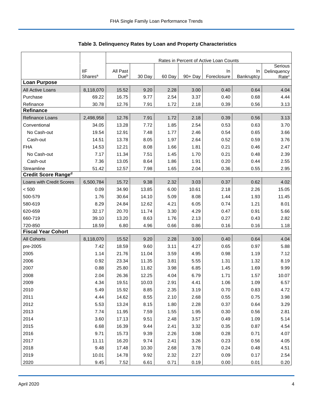|                            |                                   | Rates in Percent of Active Loan Counts |        |        |            |                   |                  |                                             |  |
|----------------------------|-----------------------------------|----------------------------------------|--------|--------|------------|-------------------|------------------|---------------------------------------------|--|
|                            | <b>IIF</b><br>Shares <sup>a</sup> | All Past<br>Due <sup>b</sup>           | 30 Day | 60 Day | $90 + Day$ | In<br>Foreclosure | In<br>Bankruptcy | Serious<br>Delinquency<br>Rate <sup>c</sup> |  |
| <b>Loan Purpose</b>        |                                   |                                        |        |        |            |                   |                  |                                             |  |
| All Active Loans           | 8,118,070                         | 15.52                                  | 9.20   | 2.28   | 3.00       | 0.40              | 0.64             | 4.04                                        |  |
| Purchase                   | 69.22                             | 16.75                                  | 9.77   | 2.54   | 3.37       | 0.40              | 0.68             | 4.44                                        |  |
| Refinance                  | 30.78                             | 12.76                                  | 7.91   | 1.72   | 2.18       | 0.39              | 0.56             | 3.13                                        |  |
| <b>Refinance</b>           |                                   |                                        |        |        |            |                   |                  |                                             |  |
| Refinance Loans            | 2,498,958                         | 12.76                                  | 7.91   | 1.72   | 2.18       | 0.39              | 0.56             | 3.13                                        |  |
| Conventional               | 34.05                             | 13.28                                  | 7.72   | 1.85   | 2.54       | 0.53              | 0.63             | 3.70                                        |  |
| No Cash-out                | 19.54                             | 12.91                                  | 7.48   | 1.77   | 2.46       | 0.54              | 0.65             | 3.66                                        |  |
| Cash-out                   | 14.51                             | 13.78                                  | 8.05   | 1.97   | 2.64       | 0.52              | 0.59             | 3.76                                        |  |
| <b>FHA</b>                 | 14.53                             | 12.21                                  | 8.08   | 1.66   | 1.81       | 0.21              | 0.46             | 2.47                                        |  |
| No Cash-out                | 7.17                              | 11.34                                  | 7.51   | 1.45   | 1.70       | 0.21              | 0.48             | 2.39                                        |  |
| Cash-out                   | 7.36                              | 13.05                                  | 8.64   | 1.86   | 1.91       | 0.20              | 0.44             | 2.55                                        |  |
| Streamline                 | 51.42                             | 12.57                                  | 7.98   | 1.65   | 2.04       | 0.36              | 0.55             | 2.95                                        |  |
| <b>Credit Score Ranged</b> |                                   |                                        |        |        |            |                   |                  |                                             |  |
| Loans with Credit Scores   | 6,500,784                         | 15.72                                  | 9.38   | 2.32   | 3.03       | 0.37              | 0.62             | 4.02                                        |  |
| < 500                      | 0.09                              | 34.90                                  | 13.85  | 6.00   | 10.61      | 2.18              | 2.26             | 15.05                                       |  |
| 500-579                    | 1.76                              | 30.64                                  | 14.10  | 5.09   | 8.08       | 1.44              | 1.93             | 11.45                                       |  |
| 580-619                    | 8.29                              | 24.84                                  | 12.62  | 4.21   | 6.05       | 0.74              | 1.21             | 8.01                                        |  |
| 620-659                    | 32.17                             | 20.70                                  | 11.74  | 3.30   | 4.29       | 0.47              | 0.91             | 5.66                                        |  |
| 660-719                    | 39.10                             | 13.20                                  | 8.63   | 1.76   | 2.13       | 0.27              | 0.43             | 2.82                                        |  |
| 720-850                    | 18.59                             | 6.80                                   | 4.96   | 0.66   | 0.86       | 0.16              | 0.16             | 1.18                                        |  |
| <b>Fiscal Year Cohort</b>  |                                   |                                        |        |        |            |                   |                  |                                             |  |
| <b>All Cohorts</b>         | 8,118,070                         | 15.52                                  | 9.20   | 2.28   | 3.00       | 0.40              | 0.64             | 4.04                                        |  |
| pre-2005                   | 7.42                              | 18.59                                  | 9.60   | 3.11   | 4.27       | 0.65              | 0.97             | 5.88                                        |  |
| 2005                       | 1.14                              | 21.76                                  | 11.04  | 3.59   | 4.95       | 0.98              | 1.19             | 7.12                                        |  |
| 2006                       | 0.92                              | 23.34                                  | 11.35  | 3.81   | 5.55       | 1.31              | 1.32             | 8.19                                        |  |
| 2007                       | 0.88                              | 25.80                                  | 11.82  | 3.98   | 6.85       | 1.45              | 1.69             | 9.99                                        |  |
| 2008                       | 2.04                              | 26.36                                  | 12.25  | 4.04   | 6.79       | 1.71              | 1.57             | 10.07                                       |  |
| 2009                       | 4.34                              | 19.51                                  | 10.03  | 2.91   | 4.41       | 1.06              | 1.09             | 6.57                                        |  |
| 2010                       | 5.49                              | 15.92                                  | 8.85   | 2.35   | 3.19       | 0.70              | 0.83             | 4.72                                        |  |
| 2011                       | 4.44                              | 14.62                                  | 8.55   | 2.10   | 2.68       | 0.55              | 0.75             | 3.98                                        |  |
| 2012                       | 5.53                              | 13.24                                  | 8.15   | 1.80   | 2.28       | 0.37              | 0.64             | 3.29                                        |  |
| 2013                       | 7.74                              | 11.95                                  | 7.59   | 1.55   | 1.95       | 0.30              | 0.56             | 2.81                                        |  |
| 2014                       | 3.60                              | 17.13                                  | 9.51   | 2.48   | 3.57       | 0.49              | 1.09             | 5.14                                        |  |
| 2015                       | 6.68                              | 16.39                                  | 9.44   | 2.41   | 3.32       | 0.35              | 0.87             | 4.54                                        |  |
| 2016                       | 9.71                              | 15.73                                  | 9.39   | 2.26   | 3.08       | 0.28              | 0.71             | 4.07                                        |  |
| 2017                       | 11.11                             | 16.20                                  | 9.74   | 2.41   | 3.26       | 0.23              | 0.56             | 4.05                                        |  |
| 2018                       | 9.48                              | 17.48                                  | 10.30  | 2.68   | 3.78       | 0.24              | 0.48             | 4.51                                        |  |
| 2019                       | 10.01                             | 14.78                                  | 9.92   | 2.32   | 2.27       | 0.09              | 0.17             | 2.54                                        |  |
| 2020                       | 9.45                              | 7.52                                   | 6.61   | 0.71   | 0.19       | 0.00              | 0.01             | 0.20                                        |  |

<span id="page-4-0"></span>Table 3. Delinquency Rates by Loan and Property Characteristics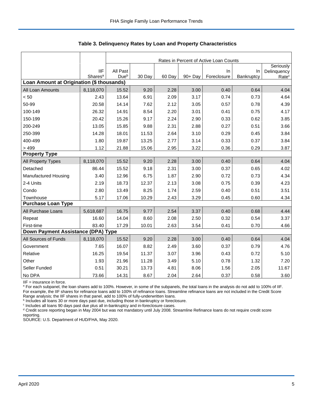|                                           |                     |                  | Rates in Percent of Active Loan Counts |        |         |             |            |                   |  |  |
|-------------------------------------------|---------------------|------------------|----------------------------------------|--------|---------|-------------|------------|-------------------|--|--|
|                                           |                     |                  |                                        |        |         |             |            | Seriously         |  |  |
|                                           | <b>IIF</b>          | All Past         |                                        |        |         | $\ln$       | In         | Delinquency       |  |  |
| Loan Amount at Origination (\$ thousands) | Shares <sup>a</sup> | Due <sup>b</sup> | 30 Day                                 | 60 Day | 90+ Day | Foreclosure | Bankruptcy | Rate <sup>c</sup> |  |  |
| All Loan Amounts                          | 8,118,070           | 15.52            | 9.20                                   | 2.28   | 3.00    | 0.40        | 0.64       | 4.04              |  |  |
| < 50                                      | 2.43                | 13.64            | 6.91                                   | 2.09   | 3.17    | 0.74        | 0.73       | 4.64              |  |  |
| 50-99                                     | 20.58               | 14.14            | 7.62                                   | 2.12   | 3.05    | 0.57        | 0.78       | 4.39              |  |  |
| 100-149                                   | 26.32               | 14.91            | 8.54                                   | 2.20   | 3.01    | 0.41        | 0.75       | 4.17              |  |  |
| 150-199                                   | 20.42               | 15.26            | 9.17                                   | 2.24   | 2.90    | 0.33        | 0.62       | 3.85              |  |  |
| 200-249                                   | 13.05               | 15.85            | 9.88                                   | 2.31   | 2.88    | 0.27        | 0.51       | 3.66              |  |  |
| 250-399                                   | 14.28               | 18.01            | 11.53                                  | 2.64   | 3.10    | 0.29        | 0.45       | 3.84              |  |  |
| 400-499                                   | 1.80                | 19.87            | 13.25                                  | 2.77   | 3.14    | 0.33        | 0.37       | 3.84              |  |  |
| > 499                                     | 1.12                | 21.88            | 15.06                                  | 2.95   | 3.22    | 0.36        | 0.29       | 3.87              |  |  |
| <b>Property Type</b>                      |                     |                  |                                        |        |         |             |            |                   |  |  |
| All Property Types                        | 8,118,070           | 15.52            | 9.20                                   | 2.28   | 3.00    | 0.40        | 0.64       | 4.04              |  |  |
| Detached                                  | 86.44               | 15.52            | 9.18                                   | 2.31   | 3.00    | 0.37        | 0.65       | 4.02              |  |  |
| <b>Manufactured Housing</b>               | 3.40                | 12.96            | 6.75                                   | 1.87   | 2.90    | 0.72        | 0.73       | 4.34              |  |  |
| 2-4 Units                                 | 2.19                | 18.73            | 12.37                                  | 2.13   | 3.08    | 0.75        | 0.39       | 4.23              |  |  |
| Condo                                     | 2.80                | 13.49            | 8.25                                   | 1.74   | 2.59    | 0.40        | 0.51       | 3.51              |  |  |
| Townhouse                                 | 5.17                | 17.06            | 10.29                                  | 2.43   | 3.29    | 0.45        | 0.60       | 4.34              |  |  |
| <b>Purchase Loan Type</b>                 |                     |                  |                                        |        |         |             |            |                   |  |  |
| All Purchase Loans                        | 5,618,687           | 16.75            | 9.77                                   | 2.54   | 3.37    | 0.40        | 0.68       | 4.44              |  |  |
| Repeat                                    | 16.60               | 14.04            | 8.60                                   | 2.08   | 2.50    | 0.32        | 0.54       | 3.37              |  |  |
| First-time                                | 83.40               | 17.29            | 10.01                                  | 2.63   | 3.54    | 0.41        | 0.70       | 4.66              |  |  |
| Down Payment Assistance (DPA) Type        |                     |                  |                                        |        |         |             |            |                   |  |  |
| All Sources of Funds                      | 8,118,070           | 15.52            | 9.20                                   | 2.28   | 3.00    | 0.40        | 0.64       | 4.04              |  |  |
| Government                                | 7.65                | 16.07            | 8.82                                   | 2.49   | 3.60    | 0.37        | 0.79       | 4.76              |  |  |
| Relative                                  | 16.25               | 19.54            | 11.37                                  | 3.07   | 3.96    | 0.43        | 0.72       | 5.10              |  |  |
| Other                                     | 1.93                | 21.96            | 11.28                                  | 3.49   | 5.10    | 0.78        | 1.32       | 7.20              |  |  |
| Seller Funded                             | 0.51                | 30.21            | 13.73                                  | 4.81   | 8.06    | 1.56        | 2.05       | 11.67             |  |  |
| No DPA                                    | 73.66               | 14.31            | 8.67                                   | 2.04   | 2.64    | 0.37        | 0.58       | 3.60              |  |  |

**Table 3. Delinquency Rates by Loan and Property Characteristics**

IIF = insurance in force.

<sup>a</sup> For each subpanel, the loan shares add to 100%. However, in some of the subpanels, the total loans in the analysis do not add to 100% of IIF. For example, the IIF shares for refinance loans add to 100% of refinance loans. Streamline refinance loans are not included in the Credit Score

Range analysis; the IIF shares in that panel, add to 100% of fully-underwritten loans.<br><sup>b</sup> Includes all loans 30 or more days past due, including those in bankruptcy or foreclosure.

c Includes all loans 90 days past due plus all in-bankruptcy and in-foreclosure cases.

<sup>d</sup> Credit score reporting began in May 2004 but was not mandatory until July 2008. Streamline Refinance loans do not require credit score reporting.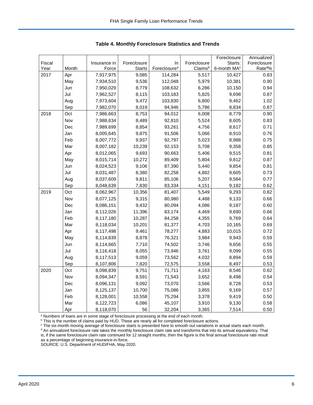|        |       |              |               |                          |             | Foreclosure             | Annualized         |
|--------|-------|--------------|---------------|--------------------------|-------------|-------------------------|--------------------|
| Fiscal |       | Insurance in | Foreclosure   | In                       | Foreclosure | Starts:                 | Foreclosure        |
| Year   | Month | Force        | <b>Starts</b> | Foreclosure <sup>a</sup> | Claimsb     | 6-month MA <sup>c</sup> | Rate <sup>d%</sup> |
| 2017   | Apr   | 7,917,975    | 9,085         | 114,284                  | 5,517       | 10,427                  | 0.83               |
|        | May   | 7,934,510    | 9,536         | 112,048                  | 5,979       | 10,381                  | 0.90               |
|        | Jun   | 7,950,029    | 8,779         | 108,632                  | 6,286       | 10,150                  | 0.94               |
|        | Jul   | 7,962,527    | 8,115         | 103,183                  | 5,825       | 9,698                   | 0.87               |
|        | Aug   | 7,973,604    | 9,472         | 103,830                  | 6,800       | 9,462                   | 1.02               |
|        | Sep   | 7,982,070    | 8,019         | 94,946                   | 5,786       | 8,834                   | 0.87               |
| 2018   | Oct   | 7,986,663    | 8,753         | 94,012                   | 6,008       | 8,779                   | 0.90               |
|        | Nov   | 7,988,634    | 8,489         | 92,810                   | 5,524       | 8,605                   | 0.83               |
|        | Dec   | 7,989,699    | 8,854         | 93,261                   | 4,756       | 8,617                   | 0.71               |
|        | Jan   | 8,005,645    | 9,875         | 91,506                   | 5,066       | 8,910                   | 0.76               |
|        | Feb   | 8,007,772    | 9,937         | 92,797                   | 5,023       | 8,988                   | 0.75               |
|        | Mar   | 8,007,182    | 10,239        | 92,153                   | 5,708       | 9,358                   | 0.85               |
|        | Apr   | 8,012,065    | 9,693         | 90,663                   | 5,406       | 9,515                   | 0.81               |
|        | May   | 8,015,714    | 10,272        | 89,409                   | 5,804       | 9,812                   | 0.87               |
|        | Jun   | 8,024,523    | 9,106         | 87,390                   | 5,440       | 9,854                   | 0.81               |
|        | Jul   | 8,031,487    | 8,380         | 82,258                   | 4,882       | 9,605                   | 0.73               |
|        | Aug   | 8,037,609    | 9,811         | 85,106                   | 5,207       | 9,584                   | 0.77               |
|        | Sep   | 8,048,639    | 7,830         | 83,334                   | 4,151       | 9,182                   | 0.62               |
| 2019   | Oct   | 8,062,967    | 10,356        | 81,407                   | 5,549       | 9,293                   | 0.82               |
|        | Nov   | 8,077,125    | 9,315         | 80,980                   | 4,488       | 9,133                   | 0.66               |
|        | Dec   | 8,086,151    | 9,432         | 80,094                   | 4,086       | 9,187                   | 0.60               |
|        | Jan   | 8,112,026    | 11,396        | 83,174                   | 4,469       | 9,690                   | 0.66               |
|        | Feb   | 8,117,180    | 10,287        | 84,258                   | 4,355       | 9,769                   | 0.64               |
|        | Mar   | 8,118,034    | 10,201        | 81,377                   | 4,703       | 10,165                  | 0.69               |
|        | Apr   | 8,117,498    | 9,461         | 78,277                   | 4,883       | 10,015                  | 0.72               |
|        | May   | 8,114,839    | 8,878         | 76,321                   | 3,984       | 9,943                   | 0.59               |
|        | Jun   | 8,114,665    | 7,710         | 74,502                   | 3,746       | 9,656                   | 0.55               |
|        | Jul   | 8,116,418    | 8,055         | 73,946                   | 3,761       | 9,099                   | 0.55               |
|        | Aug   | 8,117,513    | 9,059         | 73,562                   | 4,032       | 8,894                   | 0.59               |
|        | Sep   | 8,107,806    | 7,820         | 72,575                   | 3,558       | 8,497                   | 0.53               |
| 2020   | Oct   | 8,098,839    | 9,751         | 71,711                   | 4,163       | 8,546                   | 0.62               |
|        | Nov   | 8,094,347    | 8,591         | 71,543                   | 3,652       | 8,498                   | 0.54               |
|        | Dec   | 8,096,131    | 9,092         | 73,070                   | 3,566       | 8,728                   | 0.53               |
|        | Jan   | 8,125,137    | 10,700        | 75,086                   | 3,855       | 9,169                   | 0.57               |
|        | Feb   | 8,128,001    | 10,558        | 75,294                   | 3,378       | 9,419                   | 0.50               |
|        | Mar   | 8,122,723    | 6,086         | 45,107                   | 3,910       | 9,130                   | 0.58               |
|        | Apr   | 8,118,070    | 56            | 32,204                   | 3,365       | 7,514                   | 0.50               |

<span id="page-6-0"></span>**Table 4. Monthly Foreclosure Statistics and Trends**

<sup>a</sup> Numbers of loans are in some stage of foreclosure processing at the end of each month.

b This is the number of claims paid by HUD. These are nearly all for completed foreclosure actions.

<sup>c</sup> The six-month moving average of foreclosure starts is presented here to smooth out variations in actual starts each month. <sup>d</sup> An annualized foreclosure rate takes the monthly foreclosure claim rate and transforms that into its annual equivalency. That is, if the same foreclosure claim rate continued for 12 straight months, then the figure is the final annual foreclosure rate result as a percentage of beginning insurance-in-force.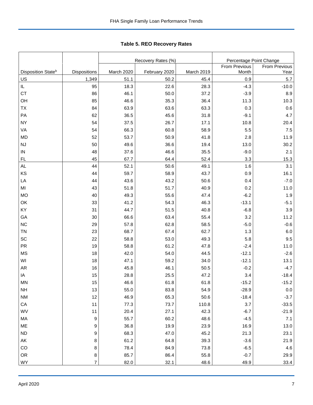<span id="page-7-0"></span>Tabl e 5. REO R ecovery R ates **Table 5. REO Recovery Rates**

|                                |                  |            | Recovery Rates (%) | Percentage Point Change |               |               |  |
|--------------------------------|------------------|------------|--------------------|-------------------------|---------------|---------------|--|
|                                |                  |            |                    |                         | From Previous | From Previous |  |
| Disposition State <sup>b</sup> | Dispositions     | March 2020 | February 2020      | March 2019              | Month         | Year          |  |
| US                             | 1,349            | 51.1       | 50.2               | 45.4                    | 0.9           | 5.7           |  |
| IL                             | 95               | 18.3       | 22.6               | 28.3                    | $-4.3$        | $-10.0$       |  |
| <b>CT</b>                      | 86               | 46.1       | 50.0               | 37.2                    | $-3.9$        | 8.9           |  |
| OH                             | 85               | 46.6       | 35.3               | 36.4                    | 11.3          | 10.3          |  |
| <b>TX</b>                      | 84               | 63.9       | 63.6               | 63.3                    | 0.3           | 0.6           |  |
| PA                             | 62               | 36.5       | 45.6               | 31.8                    | $-9.1$        | 4.7           |  |
| <b>NY</b>                      | 54               | 37.5       | 26.7               | 17.1                    | 10.8          | 20.4          |  |
| VA                             | 54               | 66.3       | 60.8               | 58.9                    | 5.5           | 7.5           |  |
| <b>MD</b>                      | 52               | 53.7       | 50.9               | 41.8                    | 2.8           | 11.9          |  |
| <b>NJ</b>                      | 50               | 49.6       | 36.6               | 19.4                    | 13.0          | 30.2          |  |
| IN                             | 48               | 37.6       | 46.6               | 35.5                    | $-9.0$        | 2.1           |  |
| FL                             | 45               | 67.7       | 64.4               | 52.4                    | 3.3           | 15.3          |  |
| <b>AL</b>                      | 44               | 52.1       | 50.6               | 49.1                    | 1.6           | 3.1           |  |
| KS                             | 44               | 59.7       | 58.9               | 43.7                    | 0.9           | 16.1          |  |
| LA                             | 44               | 43.6       | 43.2               | 50.6                    | 0.4           | $-7.0$        |  |
| MI                             | 43               | 51.8       | 51.7               | 40.9                    | 0.2           | 11.0          |  |
| <b>MO</b>                      | 40               | 49.3       | 55.6               | 47.4                    | $-6.2$        | 1.9           |  |
| OK                             | 33               | 41.2       | 54.3               | 46.3                    | $-13.1$       | $-5.1$        |  |
| KY                             | 31               | 44.7       | 51.5               | 40.8                    | $-6.8$        | 3.9           |  |
| GA                             | 30               | 66.6       | 63.4               | 55.4                    | 3.2           | 11.2          |  |
| <b>NC</b>                      | 29               | 57.8       | 62.8               | 58.5                    | $-5.0$        | $-0.6$        |  |
| <b>TN</b>                      | 23               | 68.7       | 67.4               | 62.7                    | 1.3           | 6.0           |  |
| SC                             | 22               | 58.8       | 53.0               | 49.3                    | 5.8           | 9.5           |  |
| <b>PR</b>                      | 19               | 58.8       | 61.2               | 47.8                    | $-2.4$        | 11.0          |  |
| <b>MS</b>                      | 18               | 42.0       | 54.0               | 44.5                    | $-12.1$       | $-2.6$        |  |
| WI                             | 18               | 47.1       | 59.2               | 34.0                    | $-12.1$       | 13.1          |  |
| <b>AR</b>                      | 16               | 45.8       | 46.1               | 50.5                    | $-0.2$        | $-4.7$        |  |
| IA                             | 15               | 28.8       | 25.5               | 47.2                    | 3.4           | $-18.4$       |  |
| MN                             | 15               | 46.6       | 61.8               | 61.8                    | $-15.2$       | $-15.2$       |  |
| <b>NH</b>                      | 13               | 55.0       | 83.8               | 54.9                    | $-28.9$       | $0.0\,$       |  |
| $\mathsf{N}\mathsf{M}$         | 12               | 46.9       | 65.3               | 50.6                    | $-18.4$       | $-3.7$        |  |
| CA                             | 11               | 77.3       | 73.7               | 110.8                   | 3.7           | $-33.5$       |  |
| WV                             | 11               | 20.4       | 27.1               | 42.3                    | $-6.7$        | $-21.9$       |  |
| MA                             | $\boldsymbol{9}$ | 55.7       | 60.2               | 48.6                    | $-4.5$        | 7.1           |  |
| ME                             | 9                | 36.8       | 19.9               | 23.9                    | 16.9          | 13.0          |  |
| <b>ND</b>                      | 9                | 68.3       | 47.0               | 45.2                    | 21.3          | 23.1          |  |
| AK                             | 8                | 61.2       | 64.8               | 39.3                    | $-3.6$        | 21.9          |  |
| CO                             | 8                | 78.4       | 84.9               | 73.8                    | $-6.5$        | 4.6           |  |
| OR                             | $\bf 8$          | 85.7       | 86.4               | 55.8                    | $-0.7$        | 29.9          |  |
| WY                             | $\overline{7}$   | 82.0       | 32.1               | 48.6                    | 49.9          | 33.4          |  |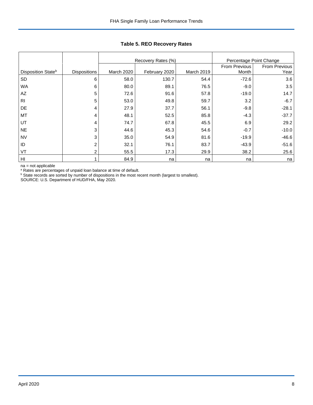|                                |                     |            | Recovery Rates (%) | Percentage Point Change |               |               |
|--------------------------------|---------------------|------------|--------------------|-------------------------|---------------|---------------|
|                                |                     |            |                    |                         | From Previous | From Previous |
| Disposition State <sup>b</sup> | <b>Dispositions</b> | March 2020 | February 2020      | March 2019              | Month         | Year          |
| <b>SD</b>                      | 6                   | 58.0       | 130.7              | 54.4                    | $-72.6$       | 3.6           |
| <b>WA</b>                      | 6                   | 80.0       | 89.1               | 76.5                    | $-9.0$        | 3.5           |
| AZ                             | 5                   | 72.6       | 91.6               | 57.8                    | $-19.0$       | 14.7          |
| R <sub>l</sub>                 | 5                   | 53.0       | 49.8               | 59.7                    | 3.2           | $-6.7$        |
| DE                             | 4                   | 27.9       | 37.7               | 56.1                    | $-9.8$        | $-28.1$       |
| MT                             | 4                   | 48.1       | 52.5               | 85.8                    | $-4.3$        | $-37.7$       |
| UT                             | 4                   | 74.7       | 67.8               | 45.5                    | 6.9           | 29.2          |
| <b>NE</b>                      | 3                   | 44.6       | 45.3               | 54.6                    | $-0.7$        | $-10.0$       |
| <b>NV</b>                      | 3                   | 35.0       | 54.9               | 81.6                    | $-19.9$       | $-46.6$       |
| ID                             | 2                   | 32.1       | 76.1               | 83.7                    | $-43.9$       | $-51.6$       |
| VT                             | 2                   | 55.5       | 17.3               | 29.9                    | 38.2          | 25.6          |
| H <sub>II</sub>                |                     | 84.9       | na                 | na                      | na            | na            |

## **Table 5. REO Recovery Rates**

na = not applicable

<sup>a</sup> Rates are percentages of unpaid loan balance at time of default.

<sup>b</sup> State records are sorted by number of dispositions in the most recent month (largest to smallest).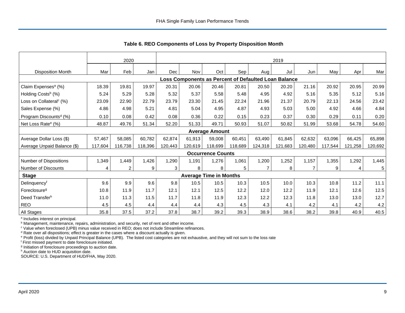|                                     |         | 2020           |         |         | 2019    |                               |         |                                                      |         |                |         |         |            |
|-------------------------------------|---------|----------------|---------|---------|---------|-------------------------------|---------|------------------------------------------------------|---------|----------------|---------|---------|------------|
| <b>Disposition Month</b>            | Mar     | Feb            | Jan     | Dec     | Nov     | Oct                           | Sep     | Aug                                                  | Jul     | Jun            | May     | Apr     | Mar        |
|                                     |         |                |         |         |         |                               |         | Loss Components as Percent of Defaulted Loan Balance |         |                |         |         |            |
| Claim Expenses <sup>a</sup> (%)     | 18.39   | 19.81          | 19.97   | 20.31   | 20.06   | 20.46                         | 20.81   | 20.50                                                | 20.20   | 21.16          | 20.92   | 20.95   | 20.99      |
| Holding Costs <sup>b</sup> (%)      | 5.24    | 5.29           | 5.28    | 5.32    | 5.37    | 5.58                          | 5.48    | 4.95                                                 | 4.92    | 5.16           | 5.35    | 5.12    | 5.16       |
| Loss on Collateral <sup>c</sup> (%) | 23.09   | 22.90          | 22.79   | 23.79   | 23.30   | 21.45                         | 22.24   | 21.96                                                | 21.37   | 20.79          | 22.13   | 24.56   | 23.42      |
| Sales Expense (%)                   | 4.86    | 4.98           | 5.21    | 4.81    | 5.04    | 4.95                          | 4.87    | 4.93                                                 | 5.03    | 5.00           | 4.92    | 4.66    | 4.84       |
| Program Discounts <sup>d</sup> (%)  | 0.10    | 0.08           | 0.42    | 0.08    | 0.36    | 0.22                          | 0.15    | 0.23                                                 | 0.37    | 0.30           | 0.29    | 0.11    | 0.20       |
| Net Loss Rate <sup>e</sup> (%)      | 48.87   | 49.76          | 51.34   | 52.20   | 51.33   | 49.71                         | 50.93   | 51.07                                                | 50.82   | 51.99          | 53.68   | 54.78   | 54.60      |
|                                     |         |                |         |         |         | <b>Average Amount</b>         |         |                                                      |         |                |         |         |            |
| Average Dollar Loss (\$)            | 57,467  | 58,085         | 60,782  | 62,874  | 61.913  | 59,008                        | 60,451  | 63,490                                               | 61,845  | 62,632         | 63,096  | 66,425  | 65,898     |
| Average Unpaid Balance (\$)         | 117,604 | 116,738        | 118,396 | 120,443 | 120.619 | 118,699                       | 118,689 | 124,318                                              | 121,683 | 120,480        | 117,544 | 121,258 | 120,692    |
|                                     |         |                |         |         |         | <b>Occurrence Counts</b>      |         |                                                      |         |                |         |         |            |
| Number of Dispositions              | 1,349   | 1,449          | 1,426   | 1,290   | 1.191   | 1,276                         | 1,061   | 1,200                                                | 1,252   | 1,157          | 1,355   | 1,292   | 1,445      |
| Number of Discounts                 | 4       | $\overline{2}$ | 9       | 3       | 8       | 8                             | 5       | $\overline{7}$                                       | 8       | $\overline{7}$ | 9       | 4       | $\sqrt{5}$ |
| <b>Stage</b>                        |         |                |         |         |         | <b>Average Time in Months</b> |         |                                                      |         |                |         |         |            |
| Delinquencyf                        | 9.6     | 9.9            | 9.6     | 9.8     | 10.5    | 10.5                          | 10.3    | 10.5                                                 | 10.0    | 10.3           | 10.8    | 11.2    | 11.1       |
| Foreclosure <sup>g</sup>            | 10.8    | 11.9           | 11.7    | 12.1    | 12.1    | 12.5                          | 12.2    | 12.0                                                 | 12.2    | 11.9           | 12.1    | 12.6    | 12.5       |
| Deed Transferh                      | 11.0    | 11.3           | 11.5    | 11.7    | 11.8    | 11.9                          | 12.3    | 12.2                                                 | 12.3    | 11.8           | 13.0    | 13.0    | 12.7       |
| <b>REO</b>                          | 4.5     | 4.5            | 4.4     | 4.4     | 4.4     | 4.3                           | 4.5     | 4.3                                                  | 4.1     | 4.2            | 4.1     | 4.2     | 4.2        |
| All Stages                          | 35.8    | 37.5           | 37.2    | 37.8    | 38.7    | 39.2                          | 39.3    | 38.9                                                 | 38.6    | 38.2           | 39.8    | 40.9    | 40.5       |

<span id="page-9-0"></span>**Table 6. REO Components of Loss by Property Disposition Month**

<sup>a</sup> Includes interest on principal.

**b** Management, maintenance, repairs, administration, and security, net of rent and other income.

<sup>c</sup> Value when foreclosed (UPB) minus value received in REO; does not include Streamline refinances.

<sup>d</sup> Rate over all dispositions; effect is greater in the cases where a discount actually is given.

<sup>e</sup> Profit (loss) divided by Unpaid Principal Balance (UPB). The listed cost categories are not exhaustive, and they will not sum to the loss rate

<sup>f</sup> First missed payment to date foreclosure initiated.

<sup>g</sup> Initiation of foreclosure proceedings to auction date.

h Auction date to HUD acquisition date.